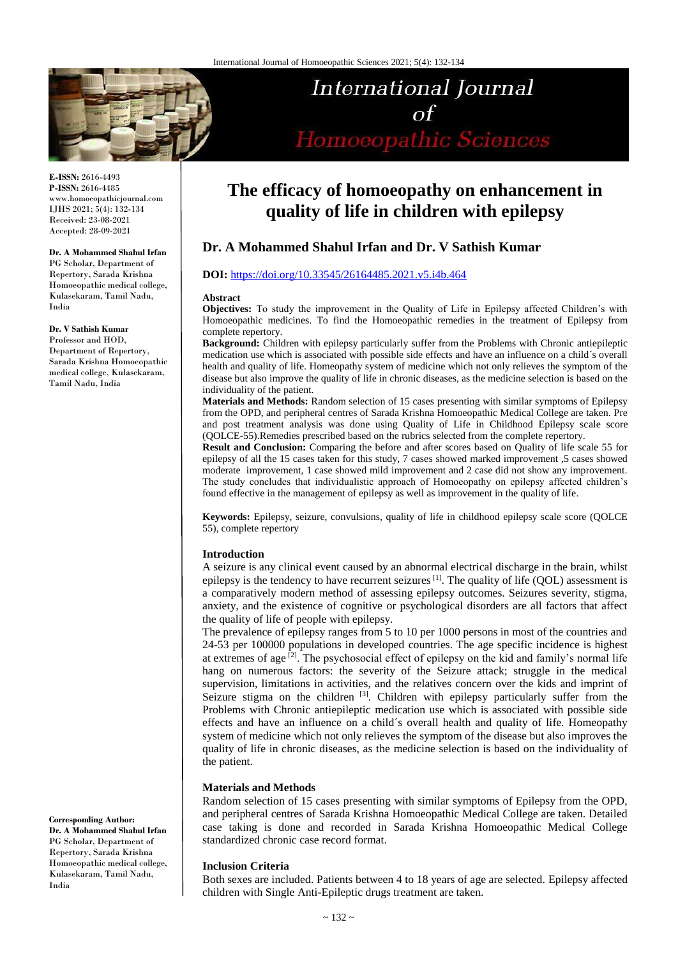

**International Journal**  $\Omega$ Homoeopathic Sciences

**E-ISSN:** 2616-4493 **P-ISSN:** 2616-4485 www.homoeopathicjournal.com IJHS 2021; 5(4): 132-134 Received: 23-08-2021 Accepted: 28-09-2021

#### **Dr. A Mohammed Shahul Irfan**

PG Scholar, Department of Repertory, Sarada Krishna Homoeopathic medical college, Kulasekaram, Tamil Nadu, India

#### **Dr. V Sathish Kumar**

Professor and HOD, Department of Repertory, Sarada Krishna Homoeopathic medical college, Kulasekaram,

Tamil Nadu, India

**Corresponding Author: Dr. A Mohammed Shahul Irfan**  PG Scholar, Department of Repertory, Sarada Krishna Homoeopathic medical college, Kulasekaram, Tamil Nadu, India

# **The efficacy of homoeopathy on enhancement in quality of life in children with epilepsy**

# **Dr. A Mohammed Shahul Irfan and Dr. V Sathish Kumar**

# **DOI:** <https://doi.org/10.33545/26164485.2021.v5.i4b.464>

#### **Abstract**

**Objectives:** To study the improvement in the Quality of Life in Epilepsy affected Children's with Homoeopathic medicines. To find the Homoeopathic remedies in the treatment of Epilepsy from complete repertory.

**Background:** Children with epilepsy particularly suffer from the Problems with Chronic antiepileptic medication use which is associated with possible side effects and have an influence on a child´s overall health and quality of life. Homeopathy system of medicine which not only relieves the symptom of the disease but also improve the quality of life in chronic diseases, as the medicine selection is based on the individuality of the patient.

**Materials and Methods:** Random selection of 15 cases presenting with similar symptoms of Epilepsy from the OPD, and peripheral centres of Sarada Krishna Homoeopathic Medical College are taken. Pre and post treatment analysis was done using Quality of Life in Childhood Epilepsy scale score (QOLCE-55).Remedies prescribed based on the rubrics selected from the complete repertory.

**Result and Conclusion:** Comparing the before and after scores based on Quality of life scale 55 for epilepsy of all the 15 cases taken for this study, 7 cases showed marked improvement ,5 cases showed moderate improvement, 1 case showed mild improvement and 2 case did not show any improvement. The study concludes that individualistic approach of Homoeopathy on epilepsy affected children's found effective in the management of epilepsy as well as improvement in the quality of life.

**Keywords:** Epilepsy, seizure, convulsions, quality of life in childhood epilepsy scale score (QOLCE 55), complete repertory

#### **Introduction**

A seizure is any clinical event caused by an abnormal electrical discharge in the brain, whilst epilepsy is the tendency to have recurrent seizures<sup>[1]</sup>. The quality of life (OOL) assessment is a comparatively modern method of assessing epilepsy outcomes. Seizures severity, stigma, anxiety, and the existence of cognitive or psychological disorders are all factors that affect the quality of life of people with epilepsy.

The prevalence of epilepsy ranges from 5 to 10 per 1000 persons in most of the countries and 24-53 per 100000 populations in developed countries. The age specific incidence is highest at extremes of age  $[2]$ . The psychosocial effect of epilepsy on the kid and family's normal life hang on numerous factors: the severity of the Seizure attack; struggle in the medical supervision, limitations in activities, and the relatives concern over the kids and imprint of Seizure stigma on the children  $[3]$ . Children with epilepsy particularly suffer from the Problems with Chronic antiepileptic medication use which is associated with possible side effects and have an influence on a child´s overall health and quality of life. Homeopathy system of medicine which not only relieves the symptom of the disease but also improves the quality of life in chronic diseases, as the medicine selection is based on the individuality of the patient.

#### **Materials and Methods**

Random selection of 15 cases presenting with similar symptoms of Epilepsy from the OPD, and peripheral centres of Sarada Krishna Homoeopathic Medical College are taken. Detailed case taking is done and recorded in Sarada Krishna Homoeopathic Medical College standardized chronic case record format.

#### **Inclusion Criteria**

Both sexes are included. Patients between 4 to 18 years of age are selected. Epilepsy affected children with Single Anti-Epileptic drugs treatment are taken.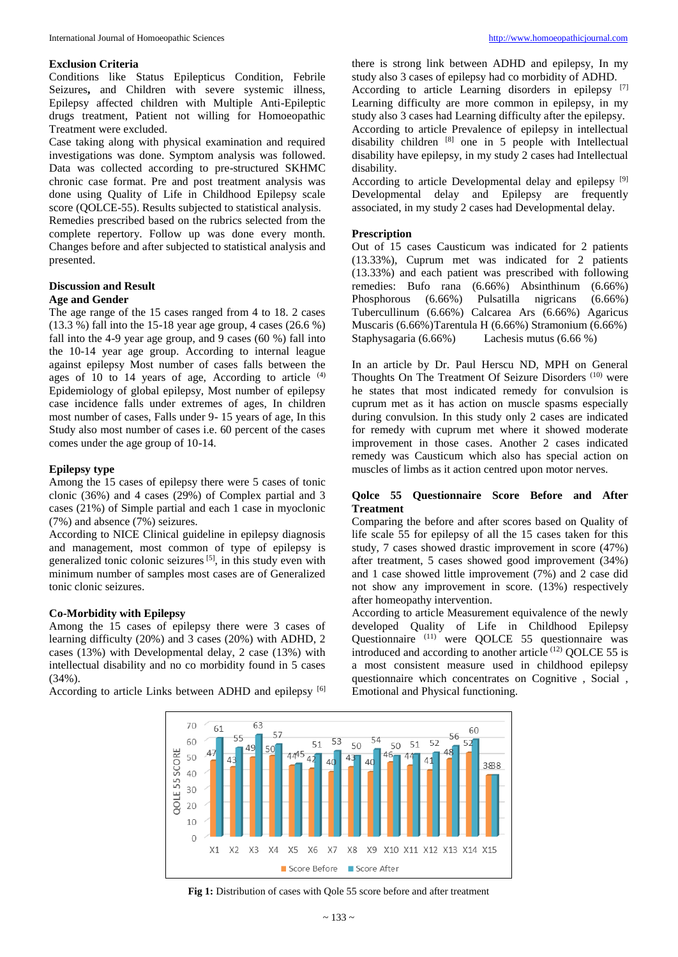#### **Exclusion Criteria**

Conditions like Status Epilepticus Condition, Febrile Seizures**,** and Children with severe systemic illness, Epilepsy affected children with Multiple Anti-Epileptic drugs treatment, Patient not willing for Homoeopathic Treatment were excluded.

Case taking along with physical examination and required investigations was done. Symptom analysis was followed. Data was collected according to pre-structured SKHMC chronic case format. Pre and post treatment analysis was done using Quality of Life in Childhood Epilepsy scale score (QOLCE-55). Results subjected to statistical analysis. Remedies prescribed based on the rubrics selected from the complete repertory. Follow up was done every month. Changes before and after subjected to statistical analysis and presented.

# **Discussion and Result**

## **Age and Gender**

The age range of the 15 cases ranged from 4 to 18. 2 cases (13.3 %) fall into the 15-18 year age group, 4 cases (26.6 %) fall into the 4-9 year age group, and 9 cases (60 %) fall into the 10-14 year age group. According to internal league against epilepsy Most number of cases falls between the ages of 10 to 14 years of age, According to article <sup>(4)</sup> Epidemiology of global epilepsy, Most number of epilepsy case incidence falls under extremes of ages, In children most number of cases, Falls under 9- 15 years of age, In this Study also most number of cases i.e. 60 percent of the cases comes under the age group of 10-14.

# **Epilepsy type**

Among the 15 cases of epilepsy there were 5 cases of tonic clonic (36%) and 4 cases (29%) of Complex partial and 3 cases (21%) of Simple partial and each 1 case in myoclonic (7%) and absence (7%) seizures.

According to NICE Clinical guideline in epilepsy diagnosis and management, most common of type of epilepsy is generalized tonic colonic seizures<sup>[5]</sup>, in this study even with minimum number of samples most cases are of Generalized tonic clonic seizures.

#### **Co-Morbidity with Epilepsy**

Among the 15 cases of epilepsy there were 3 cases of learning difficulty (20%) and 3 cases (20%) with ADHD, 2 cases (13%) with Developmental delay, 2 case (13%) with intellectual disability and no co morbidity found in 5 cases (34%).

According to article Links between ADHD and epilepsy [6]

there is strong link between ADHD and epilepsy, In my study also 3 cases of epilepsy had co morbidity of ADHD. According to article Learning disorders in epilepsy [7] Learning difficulty are more common in epilepsy, in my study also 3 cases had Learning difficulty after the epilepsy. According to article Prevalence of epilepsy in intellectual disability children [8] one in 5 people with Intellectual disability have epilepsy, in my study 2 cases had Intellectual disability.

According to article Developmental delay and epilepsy [9] Developmental delay and Epilepsy are frequently associated, in my study 2 cases had Developmental delay.

# **Prescription**

Out of 15 cases Causticum was indicated for 2 patients (13.33%), Cuprum met was indicated for 2 patients (13.33%) and each patient was prescribed with following remedies: Bufo rana (6.66%) Absinthinum (6.66%) Phosphorous (6.66%) Pulsatilla nigricans (6.66%) Tubercullinum (6.66%) Calcarea Ars (6.66%) Agaricus Muscaris (6.66%)Tarentula H (6.66%) Stramonium (6.66%) Staphysagaria (6.66%) Lachesis mutus (6.66 %)

In an article by Dr. Paul Herscu ND, MPH on General Thoughts On The Treatment Of Seizure Disorders<sup>(10)</sup> were he states that most indicated remedy for convulsion is cuprum met as it has action on muscle spasms especially during convulsion. In this study only 2 cases are indicated for remedy with cuprum met where it showed moderate improvement in those cases. Another 2 cases indicated remedy was Causticum which also has special action on muscles of limbs as it action centred upon motor nerves.

#### **Qolce 55 Questionnaire Score Before and After Treatment**

Comparing the before and after scores based on Quality of life scale 55 for epilepsy of all the 15 cases taken for this study, 7 cases showed drastic improvement in score (47%) after treatment, 5 cases showed good improvement (34%) and 1 case showed little improvement (7%) and 2 case did not show any improvement in score. (13%) respectively after homeopathy intervention.

According to article Measurement equivalence of the newly developed Quality of Life in Childhood Epilepsy Questionnaire (11) were QOLCE 55 questionnaire was introduced and according to another article<sup>(12)</sup> QOLCE 55 is a most consistent measure used in childhood epilepsy questionnaire which concentrates on Cognitive , Social , Emotional and Physical functioning.



Fig 1: Distribution of cases with Qole 55 score before and after treatment